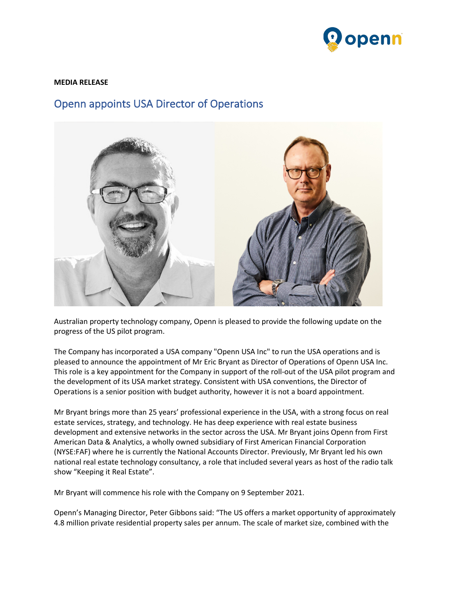

## **MEDIA RELEASE**

## Openn appoints USA Director of Operations



Australian property technology company, Openn is pleased to provide the following update on the progress of the US pilot program.

The Company has incorporated a USA company "Openn USA Inc" to run the USA operations and is pleased to announce the appointment of Mr Eric Bryant as Director of Operations of Openn USA Inc. This role is a key appointment for the Company in support of the roll-out of the USA pilot program and the development of its USA market strategy. Consistent with USA conventions, the Director of Operations is a senior position with budget authority, however it is not a board appointment.

Mr Bryant brings more than 25 years' professional experience in the USA, with a strong focus on real estate services, strategy, and technology. He has deep experience with real estate business development and extensive networks in the sector across the USA. Mr Bryant joins Openn from First American Data & Analytics, a wholly owned subsidiary of First American Financial Corporation (NYSE:FAF) where he is currently the National Accounts Director. Previously, Mr Bryant led his own national real estate technology consultancy, a role that included several years as host of the radio talk show "Keeping it Real Estate".

Mr Bryant will commence his role with the Company on 9 September 2021.

Openn's Managing Director, Peter Gibbons said: "The US offers a market opportunity of approximately 4.8 million private residential property sales per annum. The scale of market size, combined with the